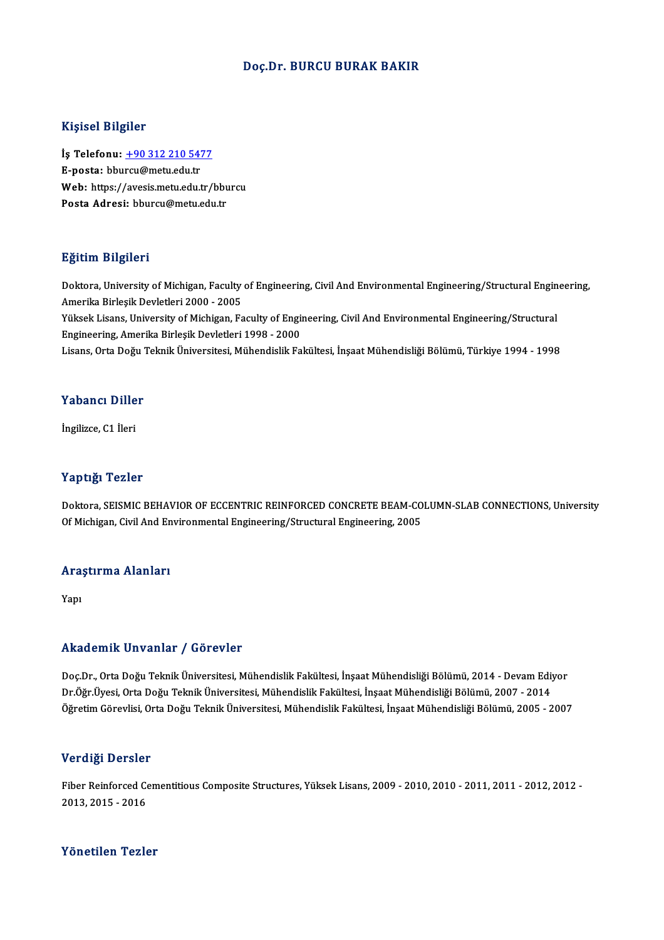#### Doç.Dr. BURCU BURAK BAKIR

#### Kişisel Bilgiler

Kişisel Bilgiler<br>İş Telefonu: <u>+90 312 210 5477</u><br>E nosta: bbursu@metu.edu.tr 11191001 Dugnot<br>İş Telefonu: <u>+90 312 210 547</u><br>E-posta: bbu[rcu@metu.edu.tr](tel:+90 312 210 5477) İş Telefonu: <u>+90 312 210 5477</u><br>E-posta: bburcu@metu.edu.tr<br>Web: https://avesis.metu.edu.tr/bburcu<br>Posta Adrosi: bburcu@metu.edu.tr E-posta: bburcu@metu.edu.tr<br>Web: https://avesis.metu.edu.tr/bbu<br>Posta Adresi: bburcu@metu.edu.tr

#### Eğitim Bilgileri

Eğitim Bilgileri<br>Doktora, University of Michigan, Faculty of Engineering, Civil And Environmental Engineering/Structural Engineering,<br>Amerika Birlesik Devletleri 3000 - 2005 Agresser<br>Doktora, University of Michigan, Faculty<br>Amerika Birleşik Devletleri 2000 - 2005<br>Vülsek Lisens, University of Michigan, Fa Doktora, University of Michigan, Faculty of Engineering, Civil And Environmental Engineering/Structural Engin<br>Amerika Birleşik Devletleri 2000 - 2005<br>Yüksek Lisans, University of Michigan, Faculty of Engineering, Civil And Amerika Birleşik Devletleri 2000 - 2005<br>Yüksek Lisans, University of Michigan, Faculty of Engi<br>Engineering, Amerika Birleşik Devletleri 1998 - 2000<br>Lisans, Orta Değu Telmik Üniversitesi, Mühandialik Fa Yüksek Lisans, University of Michigan, Faculty of Engineering, Civil And Environmental Engineering/Structural<br>Engineering, Amerika Birleşik Devletleri 1998 - 2000<br>Lisans, Orta Doğu Teknik Üniversitesi, Mühendislik Fakültes Lisans, Orta Doğu Teknik Üniversitesi, Mühendislik Fakültesi, İnşaat Mühendisliği Bölümü, Türkiye 1994 - 1998<br>Yabancı Diller

İngilizce, C1 İleri

#### Yaptığı Tezler

Yaptığı Tezler<br>Doktora, SEISMIC BEHAVIOR OF ECCENTRIC REINFORCED CONCRETE BEAM-COLUMN-SLAB CONNECTIONS, University<br>Of Michigan, Civil And Environmental Engineering (Structural Engineering, 2005 Tup ugs<br>Doktora, SEISMIC BEHAVIOR OF ECCENTRIC REINFORCED CONCRETE BEAM-CO<br>Of Michigan, Civil And Environmental Engineering/Structural Engineering, 2005

## or micnigan, civii And En<br>Araştırma Alanları Ara:<br><sub>Yapı</sub>

# Akademik Unvanlar / Görevler

Akademik Unvanlar / Görevler<br>Doç.Dr., Orta Doğu Teknik Üniversitesi, Mühendislik Fakültesi, İnşaat Mühendisliği Bölümü, 2014 - Devam Ediyor<br>Dr.Öğr Üyesi, Orta Doğu Teknik Üniversitesi, Mühendislik Fakültesi, İnsaat Mühendi rrnaa onrin "On varilar" / "Oor ovlor"<br>Doç.Dr., Orta Doğu Teknik Üniversitesi, Mühendislik Fakültesi, İnşaat Mühendisliği Bölümü, 2014 - Devam Ediy<br>Öğretim Cörevlisi, Orta Doğu Teknik Üniversitesi, Mühendislik Fakültesi, İ Dr.Öğr.Üyesi, Orta Doğu Teknik Üniversitesi, Mühendislik Fakültesi, İnşaat Mühendisliği Bölümü, 2007 - 2014<br>Öğretim Görevlisi, Orta Doğu Teknik Üniversitesi, Mühendislik Fakültesi, İnşaat Mühendisliği Bölümü, 2005 - 2007

#### Verdiği Dersler

Verdiği Dersler<br>Fiber Reinforced Cementitious Composite Structures, Yüksek Lisans, 2009 - 2010, 2010 - 2011, 2011 - 2012, 2012<br>2013, 2015 - 2016 2013, 2015<br>2013, 2015 - 2016<br>2013, 2015 - 2016 Yönetilen Tezler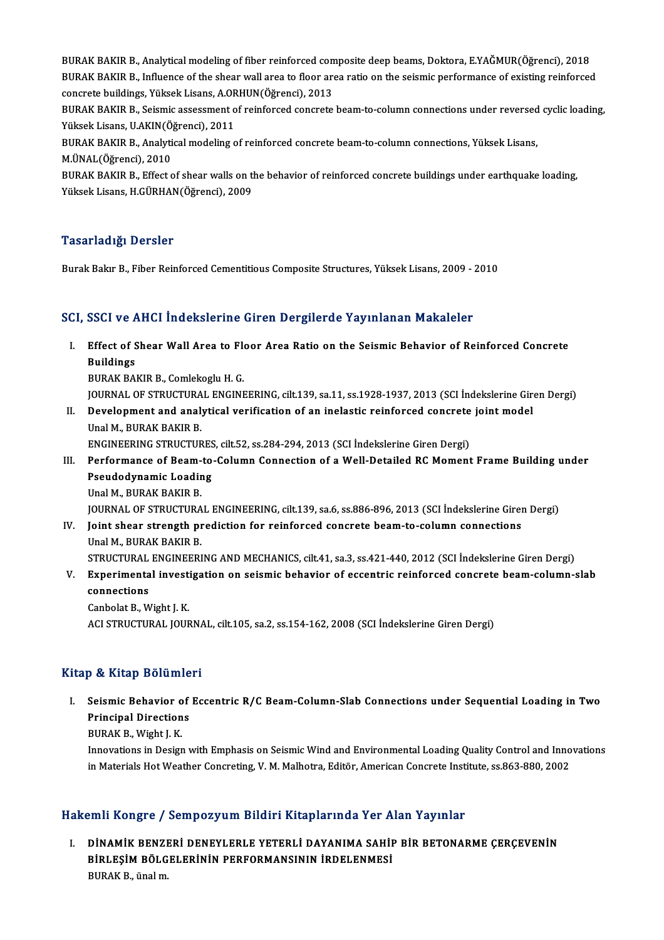BURAK BAKIR B., Analytical modeling of fiber reinforced composite deep beams, Doktora, E.YAĞMUR(Öğrenci), 2018<br>BURAK BAKIR B., Analytical modeling of fiber reinforced composite deep beams, Doktora, E.YAĞMUR(Öğrenci), 2018 BURAK BAKIR B., Analytical modeling of fiber reinforced composite deep beams, Doktora, E.YAĞMUR(Öğrenci), 2018<br>BURAK BAKIR B., Influence of the shear wall area to floor area ratio on the seismic performance of existing rei BURAK BAKIR B., Analytical modeling of fiber reinforced con<br>BURAK BAKIR B., Influence of the shear wall area to floor are<br>concrete buildings, Yüksek Lisans, A.ORHUN(Öğrenci), 2013<br>BURAK BAKIR B. Seismis assessment of reinf BURAK BAKIR B., Influence of the shear wall area to floor area ratio on the seismic performance of existing reinforced<br>concrete buildings, Yüksek Lisans, A.ORHUN(Öğrenci), 2013<br>BURAK BAKIR B., Seismic assessment of reinfor

concrete buildings, Yüksek Lisans, A.ORHUN(Öğrenci), 2013<br>BURAK BAKIR B., Seismic assessment of reinforced concrete beam-to-column connections under reversed<br>Yüksek Lisans, U.AKIN(Öğrenci), 2011<br>BURAK BAKIR B., Analytical BURAK BAKIR B., Seismic assessment of reinforced concrete beam-to-column connections under reversed<br>Yüksek Lisans, U.AKIN(Öğrenci), 2011<br>BURAK BAKIR B., Analytical modeling of reinforced concrete beam-to-column connections

Yüksek Lisans, U.AKIN(Öğrenci), 2011<br>BURAK BAKIR B., Analytical modeling<br>M.ÜNAL(Öğrenci), 2010

BURAK BAKIR B., Effect of shear walls on the behavior of reinforced concrete buildings under earthquake loading, YüksekLisans,H.GÜRHAN(Öğrenci),2009

#### Tasarladığı Dersler

Burak Bakır B., Fiber Reinforced Cementitious Composite Structures, Yüksek Lisans, 2009 - 2010

## SCI, SSCI ve AHCI İndekslerine Giren Dergilerde Yayınlanan Makaleler

CI, SSCI ve AHCI İndekslerine Giren Dergilerde Yayınlanan Makaleler<br>I. Effect of Shear Wall Area to Floor Area Ratio on the Seismic Behavior of Reinforced Concrete<br>Ruildings Buildings<br>Buildings<br>Buildings Effect of Shear Wall Area to Fle<br>Buildings<br>BURAK BAKIR B., Comlekoglu H. G.<br>JOUPNAL OF STBUCTUBAL ENCINE Buildings<br>BURAK BAKIR B., Comlekoglu H. G.<br>JOURNAL OF STRUCTURAL ENGINEERING, cilt.139, sa.11, ss.1928-1937, 2013 (SCI İndekslerine Giren Dergi)<br>Davelonment and analytisel verifisation of an inclastis reinforsed sonarete j

BURAK BAKIR B., Comlekoglu H. G.<br>JOURNAL OF STRUCTURAL ENGINEERING, cilt.139, sa.11, ss.1928-1937, 2013 (SCI İndekslerine Gir<br>II. Development and analytical verification of an inelastic reinforced concrete joint model<br>IIne **JOURNAL OF STRUCTURA<br>Development and analy<br>Unal M., BURAK BAKIR B.<br>ENCINEEPINC STBUCTUR** Development and analytical verification of an inelastic reinforced concrete<br>Unal M., BURAK BAKIR B.<br>ENGINEERING STRUCTURES, cilt.52, ss.284-294, 2013 (SCI İndekslerine Giren Dergi)<br>Performance of Beam to Column Connection

ENGINEERING STRUCTURES, cilt.52, ss.284-294, 2013 (SCI İndekslerine Giren Dergi)

- Unal M., BURAK BAKIR B.<br>ENGINEERING STRUCTURES, cilt.52, ss.284-294, 2013 (SCI İndekslerine Giren Dergi)<br>III. Performance of Beam-to-Column Connection of a Well-Detailed RC Moment Frame Building under<br>Pseudodynamic Loading Unal M., BURAK BAKIR B. JOURNALOF STRUCTURAL ENGINEERING, cilt.139, sa.6, ss.886-896,2013 (SCI İndekslerineGirenDergi) Unal M., BURAK BAKIR B.<br>JOURNAL OF STRUCTURAL ENGINEERING, cilt.139, sa.6, ss.886-896, 2013 (SCI İndekslerine Girength prediction for reinforced concrete beam-to-column connections<br>Inel M. BURAK BAKIR B.
- **JOURNAL OF STRUCTURA<br>Joint shear strength pi**<br>Unal M., BURAK BAKIR B.<br>STRUCTURAL ENCINEED! Unal M., BURAK BAKIR B.<br>STRUCTURAL ENGINEERING AND MECHANICS, cilt.41, sa.3, ss.421-440, 2012 (SCI İndekslerine Giren Dergi)
- Unal M., BURAK BAKIR B.<br>STRUCTURAL ENGINEERING AND MECHANICS, cilt.41, sa.3, ss.421-440, 2012 (SCI İndekslerine Giren Dergi)<br>V. Experimental investigation on seismic behavior of eccentric reinforced concrete beam-column-sl STRUCTURAL<br>Experimenta<br>connections<br>Conhelat B. M Experimental invest<br>connections<br>Canbolat B., Wight J. K.<br>ACLSTPHCTURAL JOUR connections<br>Canbolat B., Wight J. K.<br>ACI STRUCTURAL JOURNAL, cilt.105, sa.2, ss.154-162, 2008 (SCI İndekslerine Giren Dergi)

### Kitap & Kitap Bölümleri

Itap & Kitap Bölümleri<br>I. Seismic Behavior of Eccentric R/C Beam-Column-Slab Connections under Sequential Loading in Two<br>Ruinsinal Directions **Seismic Behavior of<br>Principal Directions**<br>PUBAV B Wight LV Seismic Behavior<br>Principal Direction<br>BURAK B., Wight J. K.<br>Innovations in Design

Principal Directions<br>BURAK B., Wight J. K.<br>Innovations in Design with Emphasis on Seismic Wind and Environmental Loading Quality Control and Innovations<br>in Materials Het Westher Congrating V. M. Malbetre, Editër, American BURAK B., Wight J. K.<br>Innovations in Design with Emphasis on Seismic Wind and Environmental Loading Quality Control and Inno<br>in Materials Hot Weather Concreting, V. M. Malhotra, Editör, American Concrete Institute, ss.863in Materials Hot Weather Concreting, V. M. Malhotra, Editör, American Concrete Institute, ss.863-880, 2002<br>Hakemli Kongre / Sempozyum Bildiri Kitaplarında Yer Alan Yayınlar

akemli Kongre / Sempozyum Bildiri Kitaplarında Yer Alan Yayınlar<br>I. DİNAMİK BENZERİ DENEYLERLE YETERLİ DAYANIMA SAHİP BİR BETONARME ÇERÇEVENİN<br>RİPLESİM PÖLÇELERLİNIN BEREORMANSININ İRDELENMESİ SINI IRSI<sub>B</sub>LƏ / SSIIIPSZYAIN ZITANI INCEPITINAA TSI II<br>DİNAMİK BENZERİ DENEYLERLE YETERLİ DAYANIMA SAHİI<br>BİRLEŞİM BÖLGELERİNİN PERFORMANSININ İRDELENMESİ DİNAMİK BENZI<br>BİRLEŞİM BÖLG<br>BURAK B., ünal m.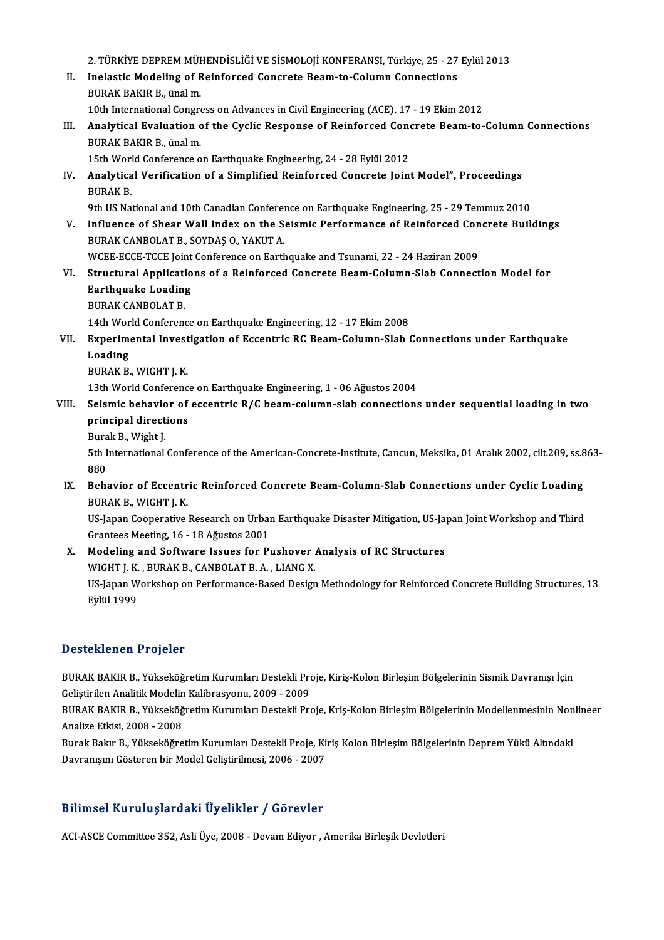2.TÜRKİYEDEPREMMÜHENDİSLİĞİVESİSMOLOJİKONFERANSI,Türkiye,25 -27Eylül2013 2. TÜRKİYE DEPREM MÜHENDİSLİĞİ VE SİSMOLOJİ KONFERANSI, Türkiye, 25 - 27<br>II. Inelastic Modeling of Reinforced Concrete Beam-to-Column Connections<br>RURAK RAKIR B. ünel m 2. TÜRKİYE DEPREM MÜH<br>Inelastic Modeling of F<br>BURAK BAKIR B., ünal m.<br>10th International Congre Inelastic Modeling of Reinforced Concrete Beam-to-Column Connections<br>BURAK BAKIR B., ünal m.<br>10th International Congress on Advances in Civil Engineering (ACE), 17 - 19 Ekim 2012<br>Analytiaal Evaluation of the Cyclia Beamenc BURAK BAKIR B., ünal m.<br>10th International Congress on Advances in Civil Engineering (ACE), 17 - 19 Ekim 2012<br>III. Analytical Evaluation of the Cyclic Response of Reinforced Concrete Beam-to-Column Connections<br>PURAK BAKIR 10th International Congress on Advances in Civil Engineering (ACE), 17 - 19 Ekim 2012<br>Analytical Evaluation of the Cyclic Response of Reinforced Concrete Beam-to-<br>BURAK BAKIR B., ünal m. Analytical Evaluation of the Cyclic Response of Reinforced Cone<br>BURAK BAKIR B., ünal m.<br>15th World Conference on Earthquake Engineering, 24 - 28 Eylül 2012<br>Analytical Verification of a Simplified Beinforced Congrate Join IV. Analytical Verification of a Simplified Reinforced Concrete Joint Model", Proceedings<br>BURAK B. 15th World Conference on Earthquake Engineering, 24 - 28 Eylül 2012 Analytical Verification of a Simplified Reinforced Concrete Joint Model", Proceedings<br>BURAK B.<br>9th US National and 10th Canadian Conference on Earthquake Engineering, 25 - 29 Temmuz 2010<br>Influence of Sheer Well Index on th BURAK B.<br>9th US National and 10th Canadian Conference on Earthquake Engineering, 25 - 29 Temmuz 2010<br>1. Influence of Shear Wall Index on the Seismic Performance of Reinforced Concrete Buildings<br>1. PURAK CANPOLAT B. SOVDAS 9th US National and 10th Canadian Conferent<br>**Influence of Shear Wall Index on the S**<br>BURAK CANBOLAT B., SOYDAŞ O., YAKUT A. Influence of Shear Wall Index on the Seismic Performance of Reinforced Con<br>BURAK CANBOLAT B., SOYDAŞ O., YAKUT A.<br>WCEE-ECCE-TCCE Joint Conference on Earthquake and Tsunami, 22 - 24 Haziran 2009<br>Structural Annliastions of a BURAK CANBOLAT B., SOYDAŞ O., YAKUT A.<br>WCEE-ECCE-TCCE Joint Conference on Earthquake and Tsunami, 22 - 24 Haziran 2009<br>VI. Structural Applications of a Reinforced Concrete Beam-Column-Slab Connection Model for<br>Farthaugke L WCEE-ECCE-TCCE Joint<br>Structural Applicatio<br>Earthquake Loading<br>PURAY CANPOLAT P Structural Applicati<br>Earthquake Loadin<br>BURAK CANBOLAT B.<br>14th World Conferenc Earthquake Loading<br>14th World Conference on Earthquake Engineering, 12 - 17 Ekim 2008<br>14th World Conference on Earthquake Engineering, 12 - 17 Ekim 2008 BURAK CANBOLAT B.<br>14th World Conference on Earthquake Engineering, 12 - 17 Ekim 2008<br>VII. Experimental Investigation of Eccentric RC Beam-Column-Slab Connections under Earthquake<br>Looding 14th Wor<br>Experime<br>Loading<br>PUPAK B Experimental Invest<br>Loading<br>BURAK B., WIGHT J. K.<br>12th World Conferenc Loading<br>BURAK B., WIGHT J. K.<br>13th World Conference on Earthquake Engineering, 1 - 06 Ağustos 2004 VIII. Seismic behavior of eccentric  $R/C$  beam-column-slab connections under sequential loading in two 13th World Conference<br>Seismic behavior of<br>principal directions<br>Purak P. Wight I Seismic behavio<br>principal direct<br>Burak B., Wight J.<br>Eth International 5th International Conference of the American-Concrete-Institute, Cancun, Meksika, 01 Aralık 2002, cilt.209, ss.863-<br>880 Burak B., Wight J. 5th International Conference of the American-Concrete-Institute, Cancun, Meksika, 01 Aralık 2002, cilt.209, ss.8<br>880<br>IX. Behavior of Eccentric Reinforced Concrete Beam-Column-Slab Connections under Cyclic Loading<br>PURAK B W 880<br><mark>Behavior of Eccentr</mark><br>BURAK B., WIGHT J. K.<br><sup>HS</sup> Japan Cooperstive Behavior of Eccentric Reinforced Concrete Beam-Column-Slab Connections under Cyclic Loading<br>BURAK B., WIGHT J. K.<br>US-Japan Cooperative Research on Urban Earthquake Disaster Mitigation, US-Japan Joint Workshop and Third<br>Cra BURAK B., WIGHT J. K.<br>US-Japan Cooperative Research on Urbai<br>Grantees Meeting, 16 - 18 Ağustos 2001<br>Medeling and Seftware Jesues for Br US-Japan Cooperative Research on Urban Earthquake Disaster Mitigation, US-Japan<br>Grantees Meeting, 16 - 18 Ağustos 2001<br>X. Modeling and Software Issues for Pushover Analysis of RC Structures<br>WICHT LY, PURAY B, CANBOLAT B, A Grantees Meeting, 16 - 18 Ağustos 2001<br>Modeling and Software Issues for Pushover<br>WIGHT J. K. , BURAK B., CANBOLAT B. A. , LIANG X.<br>US Japan Warksbon on Performance Beeed Design X. Modeling and Software Issues for Pushover Analysis of RC Structures<br>WIGHT J. K., BURAK B., CANBOLAT B. A., LIANG X.<br>US-Japan Workshop on Performance-Based Design Methodology for Reinforced Concrete Building Structures, WIGHT J. K.<br>US-Japan W<br>Eylül 1999

### Desteklenen Projeler

Desteklenen Projeler<br>BURAK BAKIR B., Yükseköğretim Kurumları Destekli Proje, Kiriş-Kolon Birleşim Bölgelerinin Sismik Davranışı İçin<br>Celistirilen Analitik Medelin Kalibresyanu, 2009, 2009 BURAK BAKIR B., Yükseköğretim Kurumları Destekli Pro<br>Geliştirilen Analitik Modelin Kalibrasyonu, 2009 - 2009<br>PURAK BAKIR B., Yükseköğretim Kurumları Destekli Bra BURAK BAKIR B., Yükseköğretim Kurumları Destekli Proje, Kiriş-Kolon Birleşim Bölgelerinin Sismik Davranışı İçin<br>Geliştirilen Analitik Modelin Kalibrasyonu, 2009 - 2009<br>BURAK BAKIR B., Yükseköğretim Kurumları Destekli Proje

Geliştirilen Analitik Modelin<br>BURAK BAKIR B., Yükseköğ<br>Analize Etkisi, 2008 - 2008<br>Burak Bakır B., Yükseköğre BURAK BAKIR B., Yükseköğretim Kurumları Destekli Proje, Kriş-Kolon Birleşim Bölgelerinin Modellenmesinin Non<br>Analize Etkisi, 2008 - 2008<br>Burak Bakır B., Yükseköğretim Kurumları Destekli Proje, Kiriş Kolon Birleşim Bölgeler

Analize Etkisi, 2008 - 2008<br>Burak Bakır B., Yükseköğretim Kurumları Destekli Proje, Kiriş Kolon Birleşim Bölgelerinin Deprem Yükü Altındaki<br>Davranışını Gösteren bir Model Geliştirilmesi, 2006 - 2007

### Bilimsel KuruluşlardakiÜyelikler / Görevler

ACI-ASCE Committee 352, Asli Üye, 2008 - Devam Ediyor , Amerika Birleşik Devletleri